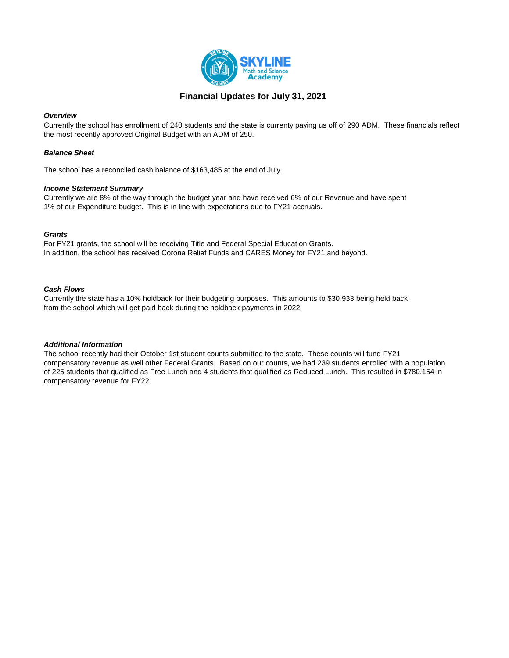

### **Financial Updates for July 31, 2021**

#### *Overview*

Currently the school has enrollment of 240 students and the state is currenty paying us off of 290 ADM. These financials reflect the most recently approved Original Budget with an ADM of 250.

### *Balance Sheet*

The school has a reconciled cash balance of \$163,485 at the end of July.

#### *Income Statement Summary*

Currently we are 8% of the way through the budget year and have received 6% of our Revenue and have spent 1% of our Expenditure budget. This is in line with expectations due to FY21 accruals.

### *Grants*

For FY21 grants, the school will be receiving Title and Federal Special Education Grants. In addition, the school has received Corona Relief Funds and CARES Money for FY21 and beyond.

#### *Cash Flows*

Currently the state has a 10% holdback for their budgeting purposes. This amounts to \$30,933 being held back from the school which will get paid back during the holdback payments in 2022.

#### *Additional Information*

The school recently had their October 1st student counts submitted to the state. These counts will fund FY21 compensatory revenue as well other Federal Grants. Based on our counts, we had 239 students enrolled with a population of 225 students that qualified as Free Lunch and 4 students that qualified as Reduced Lunch. This resulted in \$780,154 in compensatory revenue for FY22.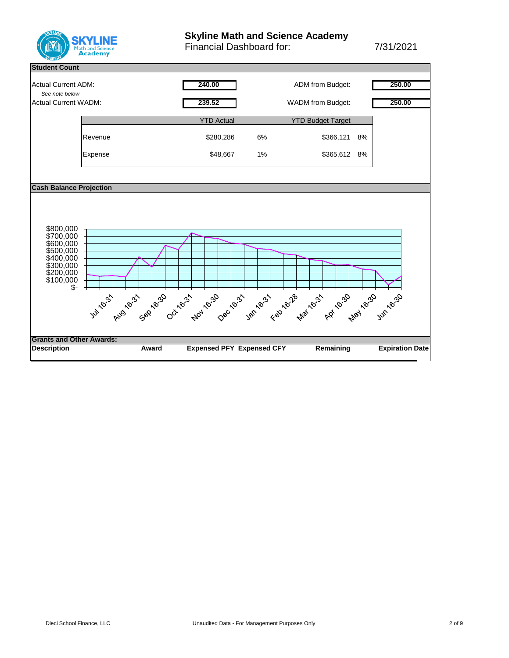

# **Skyline Math and Science Academy**

Financial Dashboard for: 7/31/2021

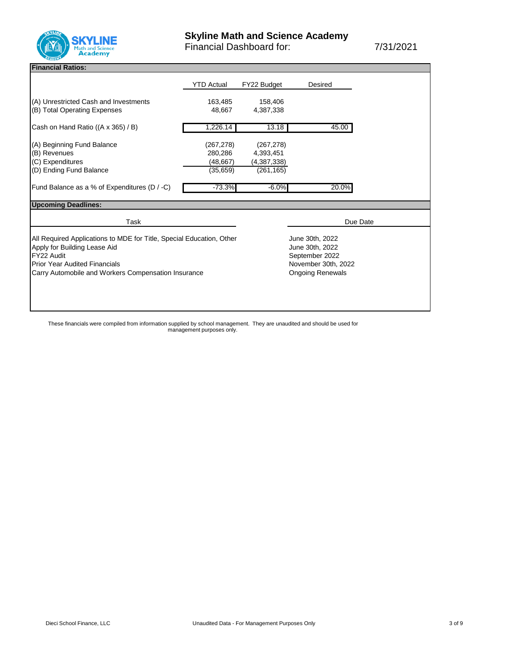

#### **Financial Ratios:**

|                                                                      | <b>YTD Actual</b>       | FY22 Budget     | Desired         |  |  |  |  |  |  |  |
|----------------------------------------------------------------------|-------------------------|-----------------|-----------------|--|--|--|--|--|--|--|
| (A) Unrestricted Cash and Investments                                | 163,485                 | 158,406         |                 |  |  |  |  |  |  |  |
| (B) Total Operating Expenses                                         | 48.667                  | 4,387,338       |                 |  |  |  |  |  |  |  |
| Cash on Hand Ratio ((A x 365) / B)                                   | 1,226.14                | 13.18           | 45.00           |  |  |  |  |  |  |  |
| (A) Beginning Fund Balance                                           | (267, 278)              | (267, 278)      |                 |  |  |  |  |  |  |  |
| (B) Revenues                                                         | 280,286                 | 4,393,451       |                 |  |  |  |  |  |  |  |
| (C) Expenditures                                                     | (48, 667)               | (4,387,338)     |                 |  |  |  |  |  |  |  |
| (D) Ending Fund Balance                                              | (35,659)                | (261, 165)      |                 |  |  |  |  |  |  |  |
| Fund Balance as a % of Expenditures (D / -C)                         | $-73.3%$                | $-6.0%$         | 20.0%           |  |  |  |  |  |  |  |
| <b>Upcoming Deadlines:</b>                                           |                         |                 |                 |  |  |  |  |  |  |  |
| Task                                                                 |                         | Due Date        |                 |  |  |  |  |  |  |  |
| All Required Applications to MDE for Title, Special Education, Other |                         | June 30th, 2022 |                 |  |  |  |  |  |  |  |
| Apply for Building Lease Aid                                         |                         |                 | June 30th, 2022 |  |  |  |  |  |  |  |
| FY22 Audit                                                           |                         | September 2022  |                 |  |  |  |  |  |  |  |
| <b>Prior Year Audited Financials</b>                                 | November 30th, 2022     |                 |                 |  |  |  |  |  |  |  |
| Carry Automobile and Workers Compensation Insurance                  | <b>Ongoing Renewals</b> |                 |                 |  |  |  |  |  |  |  |
|                                                                      |                         |                 |                 |  |  |  |  |  |  |  |
|                                                                      |                         |                 |                 |  |  |  |  |  |  |  |
|                                                                      |                         |                 |                 |  |  |  |  |  |  |  |
|                                                                      |                         |                 |                 |  |  |  |  |  |  |  |

These financials were compiled from information supplied by school management. They are unaudited and should be used for management purposes only.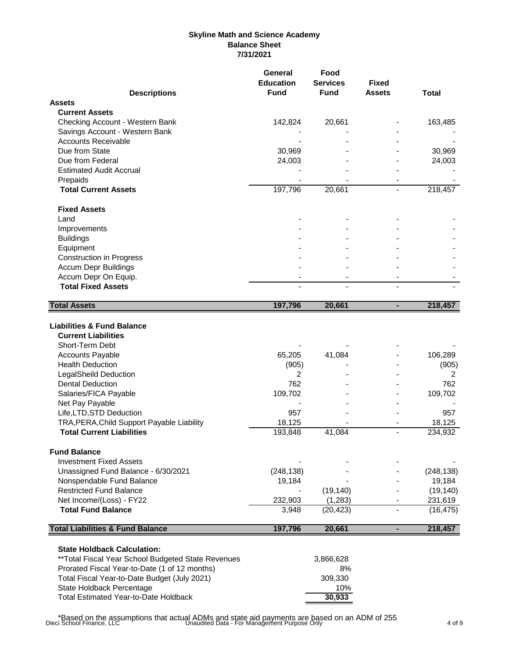### **Skyline Math and Science Academy Balance Sheet 7/31/2021**

|                                                                                                                                                                                                                         | <b>General</b><br><b>Education</b><br><b>Fund</b> | Food<br><b>Services</b><br><b>Fund</b> | <b>Fixed</b><br><b>Assets</b> |                              |
|-------------------------------------------------------------------------------------------------------------------------------------------------------------------------------------------------------------------------|---------------------------------------------------|----------------------------------------|-------------------------------|------------------------------|
| <b>Descriptions</b><br><b>Assets</b>                                                                                                                                                                                    |                                                   |                                        |                               | <b>Total</b>                 |
|                                                                                                                                                                                                                         |                                                   |                                        |                               |                              |
| <b>Current Assets</b>                                                                                                                                                                                                   |                                                   |                                        |                               |                              |
| Checking Account - Western Bank                                                                                                                                                                                         | 142,824                                           | 20,661                                 |                               | 163,485                      |
| Savings Account - Western Bank                                                                                                                                                                                          |                                                   |                                        |                               |                              |
| <b>Accounts Receivable</b>                                                                                                                                                                                              |                                                   |                                        |                               |                              |
| Due from State                                                                                                                                                                                                          | 30,969                                            |                                        |                               | 30,969                       |
| Due from Federal                                                                                                                                                                                                        | 24,003                                            |                                        |                               | 24,003                       |
| <b>Estimated Audit Accrual</b>                                                                                                                                                                                          |                                                   |                                        |                               |                              |
| Prepaids                                                                                                                                                                                                                |                                                   |                                        |                               |                              |
| <b>Total Current Assets</b>                                                                                                                                                                                             | 197,796                                           | 20,661                                 | $\blacksquare$                | 218,457                      |
| <b>Fixed Assets</b>                                                                                                                                                                                                     |                                                   |                                        |                               |                              |
| Land                                                                                                                                                                                                                    |                                                   |                                        |                               |                              |
| Improvements                                                                                                                                                                                                            |                                                   |                                        |                               |                              |
| <b>Buildings</b>                                                                                                                                                                                                        |                                                   |                                        |                               |                              |
| Equipment                                                                                                                                                                                                               |                                                   |                                        |                               |                              |
| <b>Construction in Progress</b>                                                                                                                                                                                         |                                                   |                                        |                               |                              |
| <b>Accum Depr Buildings</b>                                                                                                                                                                                             |                                                   |                                        |                               |                              |
| Accum Depr On Equip.                                                                                                                                                                                                    |                                                   |                                        |                               |                              |
| <b>Total Fixed Assets</b>                                                                                                                                                                                               |                                                   |                                        |                               |                              |
| <b>Total Assets</b>                                                                                                                                                                                                     | 197,796                                           | 20,661                                 | ä,                            | 218,457                      |
| <b>Liabilities &amp; Fund Balance</b><br><b>Current Liabilities</b><br>Short-Term Debt<br><b>Accounts Payable</b><br><b>Health Deduction</b><br><b>LegalSheild Deduction</b><br><b>Dental Deduction</b>                 | 65,205<br>(905)<br>$\overline{2}$<br>762          | 41,084                                 |                               | 106,289<br>(905)<br>2<br>762 |
| Salaries/FICA Payable                                                                                                                                                                                                   | 109,702                                           |                                        |                               | 109,702                      |
| Net Pay Payable                                                                                                                                                                                                         |                                                   |                                        |                               |                              |
| Life, LTD, STD Deduction                                                                                                                                                                                                | 957                                               |                                        |                               | 957                          |
| TRA, PERA, Child Support Payable Liability                                                                                                                                                                              | 18,125                                            |                                        |                               | 18,125                       |
| <b>Total Current Liabilities</b>                                                                                                                                                                                        | 193,848                                           | 41,084                                 | $\overline{a}$                | 234,932                      |
|                                                                                                                                                                                                                         |                                                   |                                        |                               |                              |
| <b>Fund Balance</b>                                                                                                                                                                                                     |                                                   |                                        |                               |                              |
| <b>Investment Fixed Assets</b>                                                                                                                                                                                          |                                                   |                                        |                               |                              |
| Unassigned Fund Balance - 6/30/2021                                                                                                                                                                                     | (248, 138)                                        |                                        |                               | (248, 138)                   |
| Nonspendable Fund Balance                                                                                                                                                                                               | 19,184                                            |                                        |                               | 19,184                       |
| <b>Restricted Fund Balance</b>                                                                                                                                                                                          |                                                   | (19, 140)                              |                               | (19, 140)                    |
| Net Income/(Loss) - FY22                                                                                                                                                                                                | 232,903                                           | (1, 283)                               |                               | 231,619                      |
| <b>Total Fund Balance</b>                                                                                                                                                                                               | 3,948                                             | (20, 423)                              |                               | (16, 475)                    |
| <b>Total Liabilities &amp; Fund Balance</b>                                                                                                                                                                             | 197,796                                           | 20,661                                 | ٠                             | 218,457                      |
| <b>State Holdback Calculation:</b><br>** Total Fiscal Year School Budgeted State Revenues<br>Prorated Fiscal Year-to-Date (1 of 12 months)<br>Total Fiscal Year-to-Date Budget (July 2021)<br>State Holdback Percentage |                                                   | 3,866,628<br>8%<br>309,330<br>10%      |                               |                              |
| <b>Total Estimated Year-to-Date Holdback</b>                                                                                                                                                                            |                                                   | 30,933                                 |                               |                              |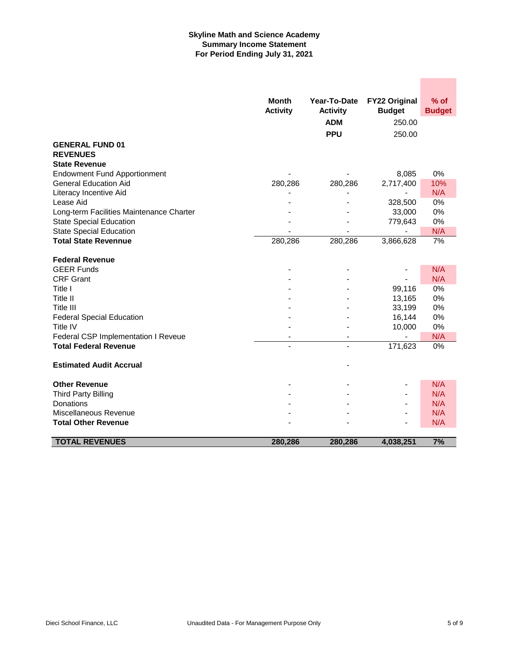### **Skyline Math and Science Academy Summary Income Statement For Period Ending July 31, 2021**

|                                          | <b>Month</b>    | Year-To-Date    | <b>FY22 Original</b>     | $%$ of        |
|------------------------------------------|-----------------|-----------------|--------------------------|---------------|
|                                          | <b>Activity</b> | <b>Activity</b> | <b>Budget</b>            | <b>Budget</b> |
|                                          |                 | <b>ADM</b>      | 250.00                   |               |
|                                          |                 | <b>PPU</b>      | 250.00                   |               |
| <b>GENERAL FUND 01</b>                   |                 |                 |                          |               |
| <b>REVENUES</b>                          |                 |                 |                          |               |
| <b>State Revenue</b>                     |                 |                 |                          |               |
| <b>Endowment Fund Apportionment</b>      |                 |                 | 8,085                    | 0%            |
| <b>General Education Aid</b>             | 280,286         | 280,286         | 2,717,400                | 10%           |
| Literacy Incentive Aid                   |                 |                 |                          | N/A           |
| Lease Aid                                |                 |                 | 328,500                  | 0%            |
| Long-term Facilities Maintenance Charter |                 |                 | 33,000                   | 0%            |
| <b>State Special Education</b>           |                 |                 | 779,643                  | 0%            |
| <b>State Special Education</b>           |                 |                 |                          | N/A           |
| <b>Total State Revennue</b>              | 280,286         | 280,286         | 3,866,628                | 7%            |
|                                          |                 |                 |                          |               |
| <b>Federal Revenue</b>                   |                 |                 |                          |               |
| <b>GEER Funds</b>                        |                 |                 |                          | N/A           |
| <b>CRF Grant</b>                         |                 |                 |                          | N/A           |
| Title I                                  |                 |                 | 99,116                   | 0%            |
| Title II                                 |                 |                 | 13,165                   | 0%            |
| Title III                                |                 |                 | 33,199                   | 0%            |
| <b>Federal Special Education</b>         |                 |                 | 16,144                   | 0%            |
| Title IV                                 |                 |                 | 10,000                   | 0%            |
| Federal CSP Implementation I Reveue      |                 | $\overline{a}$  |                          | N/A           |
| <b>Total Federal Revenue</b>             |                 | ٠               | 171,623                  | $0\%$         |
| <b>Estimated Audit Accrual</b>           |                 |                 |                          |               |
|                                          |                 |                 |                          |               |
| <b>Other Revenue</b>                     |                 |                 | $\overline{\phantom{0}}$ | N/A           |
| <b>Third Party Billing</b>               |                 |                 | $\blacksquare$           | N/A           |
| Donations                                |                 |                 |                          | N/A           |
| Miscellaneous Revenue                    |                 |                 | $\overline{a}$           | N/A           |
| <b>Total Other Revenue</b>               |                 |                 |                          | N/A           |
|                                          |                 |                 |                          |               |
| <b>TOTAL REVENUES</b>                    | 280,286         | 280,286         | 4,038,251                | 7%            |

**Contract Contract**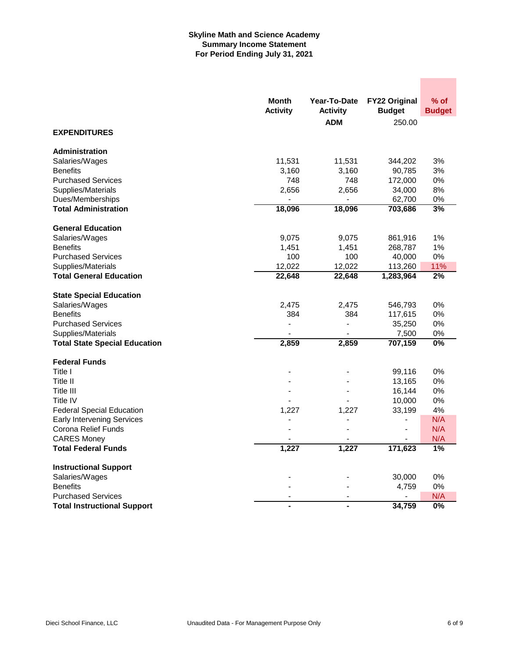### **Skyline Math and Science Academy Summary Income Statement For Period Ending July 31, 2021**

|                                      | Month           | Year-To-Date    | <b>FY22 Original</b> | % of             |
|--------------------------------------|-----------------|-----------------|----------------------|------------------|
|                                      | <b>Activity</b> | <b>Activity</b> | <b>Budget</b>        | <b>Budget</b>    |
|                                      |                 | <b>ADM</b>      | 250.00               |                  |
| <b>EXPENDITURES</b>                  |                 |                 |                      |                  |
| <b>Administration</b>                |                 |                 |                      |                  |
| Salaries/Wages                       | 11,531          | 11,531          | 344,202              | 3%               |
| <b>Benefits</b>                      | 3,160           | 3,160           | 90,785               | 3%               |
| <b>Purchased Services</b>            | 748             | 748             | 172,000              | 0%               |
| Supplies/Materials                   | 2,656           | 2,656           | 34,000               | 8%               |
| Dues/Memberships                     |                 |                 | 62,700               | 0%               |
| <b>Total Administration</b>          | 18,096          | 18,096          | 703,686              | 3%               |
| <b>General Education</b>             |                 |                 |                      |                  |
| Salaries/Wages                       | 9,075           | 9,075           | 861,916              | 1%               |
| <b>Benefits</b>                      | 1,451           | 1,451           | 268,787              | 1%               |
| <b>Purchased Services</b>            | 100             | 100             | 40,000               | 0%               |
| Supplies/Materials                   | 12,022          | 12,022          | 113,260              | 11%              |
| <b>Total General Education</b>       | 22,648          | 22,648          | 1,283,964            | 2%               |
| <b>State Special Education</b>       |                 |                 |                      |                  |
| Salaries/Wages                       | 2,475           | 2,475           | 546,793              | 0%               |
| <b>Benefits</b>                      | 384             | 384             | 117,615              | 0%               |
| <b>Purchased Services</b>            |                 |                 | 35,250               | 0%               |
| Supplies/Materials                   |                 | $\blacksquare$  | 7,500                | 0%               |
| <b>Total State Special Education</b> | 2,859           | 2,859           | 707,159              | $\overline{0\%}$ |
| <b>Federal Funds</b>                 |                 |                 |                      |                  |
| Title I                              |                 |                 | 99,116               | 0%               |
| Title II                             |                 |                 | 13,165               | 0%               |
| Title III                            |                 |                 | 16,144               | 0%               |
| Title IV                             |                 |                 | 10,000               | 0%               |
| <b>Federal Special Education</b>     | 1,227           | 1,227           | 33,199               | 4%               |
| <b>Early Intervening Services</b>    |                 |                 | $\frac{1}{2}$        | N/A              |
| Corona Relief Funds                  |                 |                 | $\blacksquare$       | N/A              |
| <b>CARES Money</b>                   |                 |                 |                      | N/A              |
| <b>Total Federal Funds</b>           | 1,227           | 1,227           | 171,623              | 1%               |
| <b>Instructional Support</b>         |                 |                 |                      |                  |
| Salaries/Wages                       |                 |                 | 30,000               | 0%               |
| <b>Benefits</b>                      |                 |                 | 4,759                | 0%               |
| <b>Purchased Services</b>            | $\blacksquare$  | $\blacksquare$  |                      | N/A              |
| <b>Total Instructional Support</b>   |                 | ä,              | 34,759               | $0\%$            |

 $\mathcal{L}^{\text{max}}_{\text{max}}$  , and  $\mathcal{L}^{\text{max}}_{\text{max}}$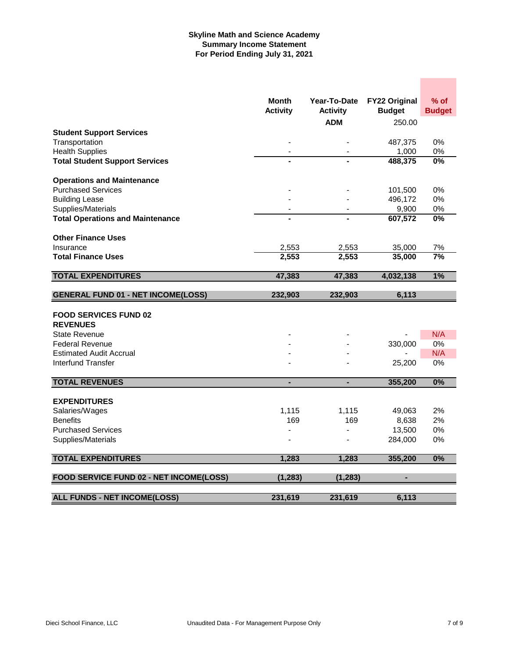### **Skyline Math and Science Academy Summary Income Statement For Period Ending July 31, 2021**

|                                                          | <b>Month</b><br><b>Activity</b> | Year-To-Date<br><b>Activity</b><br><b>ADM</b> | <b>FY22 Original</b><br><b>Budget</b><br>250.00 | $%$ of<br><b>Budget</b> |
|----------------------------------------------------------|---------------------------------|-----------------------------------------------|-------------------------------------------------|-------------------------|
| <b>Student Support Services</b>                          |                                 |                                               |                                                 |                         |
| Transportation                                           |                                 |                                               | 487,375                                         | 0%                      |
| <b>Health Supplies</b>                                   |                                 |                                               | 1,000                                           | 0%                      |
| <b>Total Student Support Services</b>                    |                                 |                                               | 488,375                                         | $\overline{0\%}$        |
| <b>Operations and Maintenance</b>                        |                                 |                                               |                                                 |                         |
| <b>Purchased Services</b>                                |                                 |                                               | 101,500                                         | 0%                      |
| <b>Building Lease</b>                                    |                                 |                                               | 496,172                                         | 0%                      |
| Supplies/Materials                                       |                                 |                                               | 9,900                                           | 0%                      |
| <b>Total Operations and Maintenance</b>                  |                                 |                                               | 607,572                                         | $\overline{0\%}$        |
| <b>Other Finance Uses</b>                                |                                 |                                               |                                                 |                         |
| Insurance                                                | 2,553                           | 2,553                                         | 35,000                                          | 7%                      |
| <b>Total Finance Uses</b>                                | 2,553                           | 2,553                                         | 35,000                                          | 7%                      |
| <b>TOTAL EXPENDITURES</b>                                | 47,383                          | 47,383                                        | 4,032,138                                       | 1%                      |
| <b>GENERAL FUND 01 - NET INCOME(LOSS)</b>                | 232,903                         | 232,903                                       | 6,113                                           |                         |
| <b>FOOD SERVICES FUND 02</b><br><b>REVENUES</b>          |                                 |                                               |                                                 |                         |
| <b>State Revenue</b>                                     |                                 |                                               |                                                 | N/A                     |
| <b>Federal Revenue</b><br><b>Estimated Audit Accrual</b> |                                 |                                               | 330,000                                         | 0%<br>N/A               |
| Interfund Transfer                                       |                                 |                                               | 25,200                                          | 0%                      |
|                                                          |                                 |                                               |                                                 |                         |
| <b>TOTAL REVENUES</b>                                    | ۰                               | ٠                                             | 355,200                                         | 0%                      |
| <b>EXPENDITURES</b>                                      |                                 |                                               |                                                 |                         |
| Salaries/Wages                                           | 1,115                           | 1,115                                         | 49,063                                          | 2%                      |
| <b>Benefits</b>                                          | 169                             | 169                                           | 8,638                                           | 2%                      |
| <b>Purchased Services</b>                                |                                 |                                               | 13,500                                          | 0%                      |
| Supplies/Materials                                       |                                 | $\blacksquare$                                | 284,000                                         | 0%                      |
| <b>TOTAL EXPENDITURES</b>                                | 1,283                           | 1,283                                         | 355,200                                         | 0%                      |
| FOOD SERVICE FUND 02 - NET INCOME(LOSS)                  | (1, 283)                        | (1, 283)                                      |                                                 |                         |
| <b>ALL FUNDS - NET INCOME(LOSS)</b>                      | 231,619                         | 231,619                                       | 6,113                                           |                         |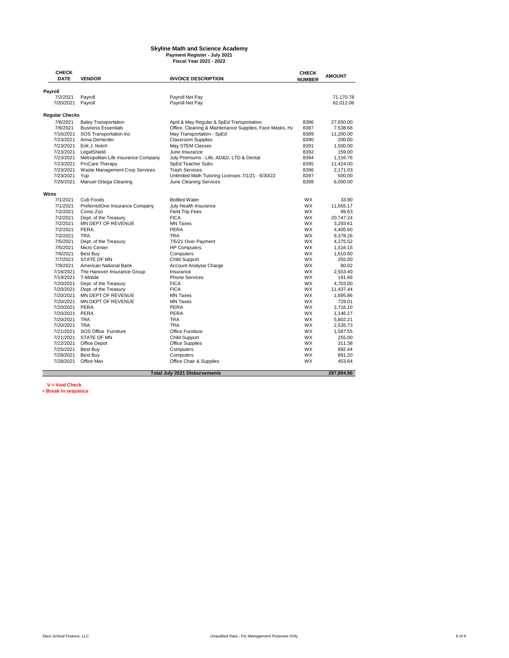#### **Skyline Math and Science Academy Payment Register - July 2021 Fiscal Year 2021 - 2022**

**CHECK DENDOR INVOICE DESCRIPTION CHECK NUMBER AMOUNT Payroll**<br>7/2/2021 7/2/2021 Payroll Payroll Net Pay 71,170.78 7/20/2021 Payroll **Regular Checks**<br>7/6/2021 Baley Transportation<br>7/6/2021 Business Essentials 7/6/2021 Baley Transportation April & May Regular & SpEd Transportation 8386 27,650.00 7/6/2021 Business Essentials Office, Cleaning & Maintenance Supplies, Face Masks, Hand Sanitizers & Social Distancing Barriers 8387 7,538.68 7/16/2021 SOS Transportation Inc May Transportation - SpEd 8389 11,200.00 7/23/2021 Anna DeHerder Classroom Supplies 8390 200.00 7/23/2021 Erik J. Notch May STEM Classes 8391 1,500.00 7/23/2021 LegalShield June Insurance Companies Lune Insurance Companies Lune Insurance Companies Lune 17/23/<br>7/23/2021 Metropolitan Life Insurance Company July Premiums - Life, AD&D, LTD & Dental 7/23/2021 Metropolitan Life Insurance Company July Premiums - Life, AD&D, LTD & Dental 8394 1,116.76<br>7/23/2021 ProCare Therapy SpEd Teacher Subs<br>7/23/2021 Waste Management Corp Services Trash Services 8396 2,171.03 ProCare Therapy SpEd Teacher Subs 8395 11,424.00<br>
Waste Management Corp Services Trash Services 8396 8396 2.171.03 7/23/2021 Waste Minitery Terms of Trash Services<br>7/23/2021 Waste Management Corp Services Trash Services 8396 2,171.03<br>7/23/2021 Yup 1993/2021 Waste Math Tutoring Licenses 7/1/21 - 6/30/22 8397 500.00 7/23/2021 Yup 19th Math Tutoring Licenses 7/1/21 - 6/30/22<br>7/23/2021 Yup 19th Unlimited Math Tutoring Licenses 7/1/21 - 6/30/22<br>7/26/2021 Manuel Ortega Cleaning 19th June Cleaning Services 8398 6,000.00 Manuel Ortega Cleaning **Wires**<br>7/1/2021 7/1/2021 Cub Foods Bottled Water WX 33.90 7/1/2021 PreferredOne Insurance Company July Health Insurance WX 11,655.17 7/2/2021 Como Zoo Field Trip Fees WX 99.63 The Treasury FICA WX 20,747.24<br>
7/2/2021 Dept. of the Treasury FICA FICA WX 20,747.24<br>
7/2/2021 MN DEPT OF REVENUE MN Taxes WX 3,293.61 ...<br>7/2/2021 MN DEPT OF REVENUE MINTaxes MX 3,293.61<br>7/2/2021 PERA PERA PERA PERA WX 4.405.60 7/2/2021 PERA PERA WX 4,405.60 7/2/2021 TRA TRA WX 9,378.26 7/5/2021 Dept. of the Treasury 7/5/21 Over Payment WX 4,275.52 HP Computers 7/6/2021 Best Buy Computers WX 1,610.60 7/7/2021 STATE OF MN Child Support WX 255.00 The Theorem 20021 American National Bank Account Analysis Charge MX 60.02<br>17/9/2021 The Hanover Insurance Group Insurance Insurance MX 2,553.40 7/16/2021 The Hanover Insurance Group Insurance Theory Insurance Changes and MX 2,553.40<br>1916 1917 T-Mobile WX 191.66 7/19/2021 T-Mobile Phone Services WX 191.66 .<br>1/20/2021 Dept. of the Treasury FICA FICA FICA WX 4,703.00<br>1/20/2021 Dept. of the Treasury FICA FICA FICA WX 11,437.44 7/20/2021 Dept. of the Treasury FICA WX 11,437.44 MN DEPT OF REVENUE MN Taxes<br>The MN Taxes MN DEPT OF REVENUE MN Taxes 7/20/2021 MN DEPT OF REVENUE MN Taxes WX 729.01 7/20/2021 PERA PERA WX 2,716.10 7/20/2021 PERA PERA WX 1,146.27 7/20/2021 TRA TRA WX 5,802.21 7/20/2021 TRA TRA WX 2,535.73 7/21/2021 SOS Office Furniture Office Furniture WX 1,587.55 Child Support 7/22/2021 Office Depot Office Supplies WX 311.38 7/25/2021 Best Buy Computers WX 892.44 7/28/2021 Best Buy Computers WX 891.20 7/28/2021 Office Max Office Chair & Supplies WX 453.64  **297,894.90 Total July 2021 Disbursements**

**V = Void Check**

**\*= Break in sequence**